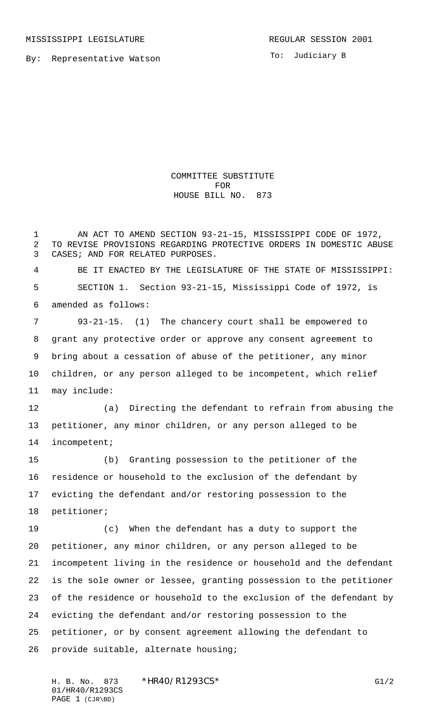By: Representative Watson

To: Judiciary B

COMMITTEE SUBSTITUTE FOR HOUSE BILL NO. 873

 AN ACT TO AMEND SECTION 93-21-15, MISSISSIPPI CODE OF 1972, TO REVISE PROVISIONS REGARDING PROTECTIVE ORDERS IN DOMESTIC ABUSE CASES; AND FOR RELATED PURPOSES.

 BE IT ENACTED BY THE LEGISLATURE OF THE STATE OF MISSISSIPPI: SECTION 1. Section 93-21-15, Mississippi Code of 1972, is amended as follows:

 93-21-15. (1) The chancery court shall be empowered to grant any protective order or approve any consent agreement to bring about a cessation of abuse of the petitioner, any minor children, or any person alleged to be incompetent, which relief may include:

 (a) Directing the defendant to refrain from abusing the petitioner, any minor children, or any person alleged to be incompetent;

 (b) Granting possession to the petitioner of the residence or household to the exclusion of the defendant by evicting the defendant and/or restoring possession to the petitioner;

 (c) When the defendant has a duty to support the petitioner, any minor children, or any person alleged to be incompetent living in the residence or household and the defendant is the sole owner or lessee, granting possession to the petitioner of the residence or household to the exclusion of the defendant by evicting the defendant and/or restoring possession to the petitioner, or by consent agreement allowing the defendant to provide suitable, alternate housing;

H. B. No. 873 \*HR40/R1293CS\* G1/2 01/HR40/R1293CS PAGE 1 (CJR\BD)